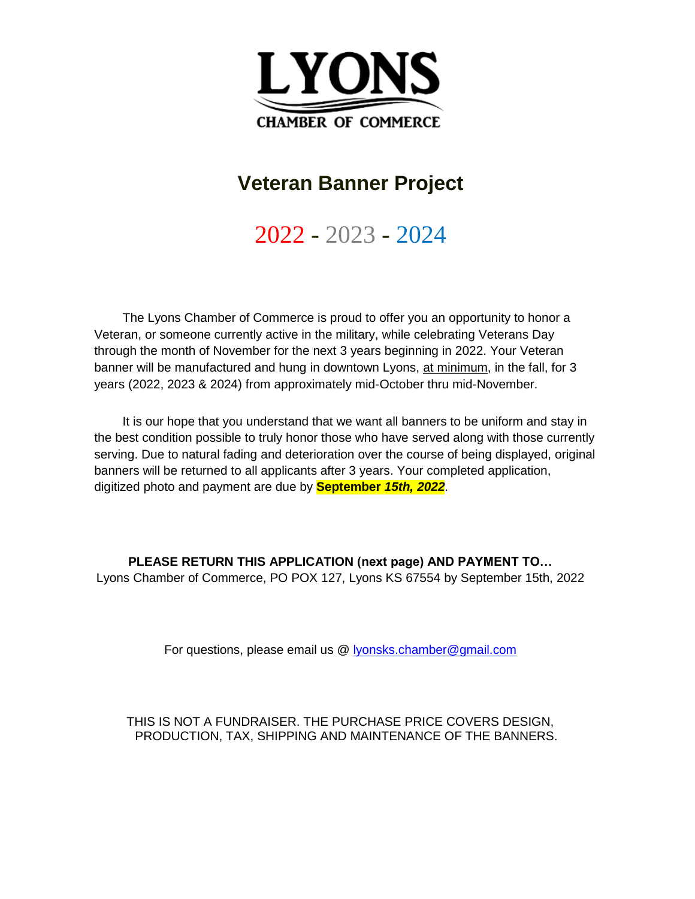

## **Veteran Banner Project**

2022 - 2023 - 2024

The Lyons Chamber of Commerce is proud to offer you an opportunity to honor a Veteran, or someone currently active in the military, while celebrating Veterans Day through the month of November for the next 3 years beginning in 2022. Your Veteran banner will be manufactured and hung in downtown Lyons, at minimum, in the fall, for 3 years (2022, 2023 & 2024) from approximately mid-October thru mid-November.

It is our hope that you understand that we want all banners to be uniform and stay in the best condition possible to truly honor those who have served along with those currently serving. Due to natural fading and deterioration over the course of being displayed, original banners will be returned to all applicants after 3 years. Your completed application, digitized photo and payment are due by **September** *15th, 2022*.

**PLEASE RETURN THIS APPLICATION (next page) AND PAYMENT TO…** Lyons Chamber of Commerce, PO POX 127, Lyons KS 67554 by September 15th, 2022

For questions, please email us @ [lyonsks.chamber@gmail.com](mailto:lyonsks.chamber@gmail.com)

THIS IS NOT A FUNDRAISER. THE PURCHASE PRICE COVERS DESIGN, PRODUCTION, TAX, SHIPPING AND MAINTENANCE OF THE BANNERS.